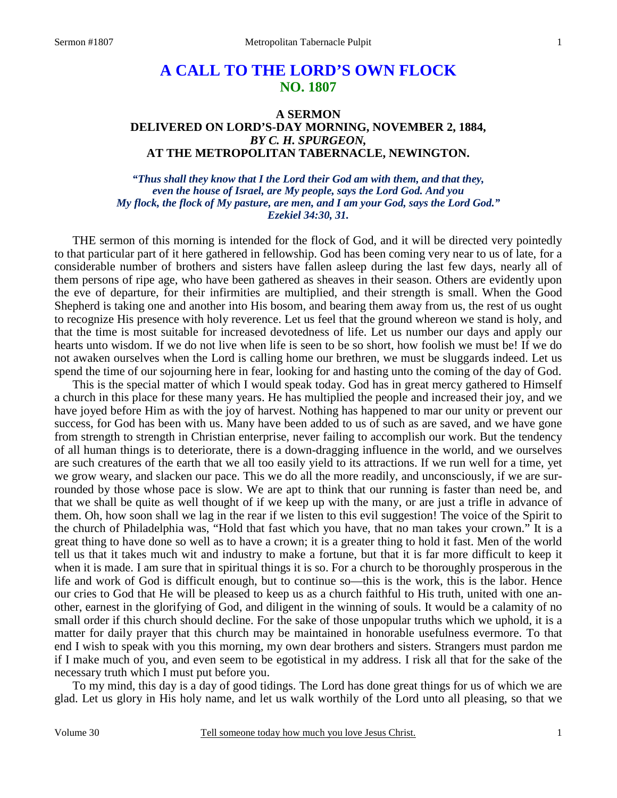# **A CALL TO THE LORD'S OWN FLOCK NO. 1807**

### **A SERMON DELIVERED ON LORD'S-DAY MORNING, NOVEMBER 2, 1884,**  *BY C. H. SPURGEON,*  **AT THE METROPOLITAN TABERNACLE, NEWINGTON.**

*"Thus shall they know that I the Lord their God am with them, and that they, even the house of Israel, are My people, says the Lord God. And you My flock, the flock of My pasture, are men, and I am your God, says the Lord God." Ezekiel 34:30, 31.* 

THE sermon of this morning is intended for the flock of God, and it will be directed very pointedly to that particular part of it here gathered in fellowship. God has been coming very near to us of late, for a considerable number of brothers and sisters have fallen asleep during the last few days, nearly all of them persons of ripe age, who have been gathered as sheaves in their season. Others are evidently upon the eve of departure, for their infirmities are multiplied, and their strength is small. When the Good Shepherd is taking one and another into His bosom, and bearing them away from us, the rest of us ought to recognize His presence with holy reverence. Let us feel that the ground whereon we stand is holy, and that the time is most suitable for increased devotedness of life. Let us number our days and apply our hearts unto wisdom. If we do not live when life is seen to be so short, how foolish we must be! If we do not awaken ourselves when the Lord is calling home our brethren, we must be sluggards indeed. Let us spend the time of our sojourning here in fear, looking for and hasting unto the coming of the day of God.

 This is the special matter of which I would speak today. God has in great mercy gathered to Himself a church in this place for these many years. He has multiplied the people and increased their joy, and we have joyed before Him as with the joy of harvest. Nothing has happened to mar our unity or prevent our success, for God has been with us. Many have been added to us of such as are saved, and we have gone from strength to strength in Christian enterprise, never failing to accomplish our work. But the tendency of all human things is to deteriorate, there is a down-dragging influence in the world, and we ourselves are such creatures of the earth that we all too easily yield to its attractions. If we run well for a time, yet we grow weary, and slacken our pace. This we do all the more readily, and unconsciously, if we are surrounded by those whose pace is slow. We are apt to think that our running is faster than need be, and that we shall be quite as well thought of if we keep up with the many, or are just a trifle in advance of them. Oh, how soon shall we lag in the rear if we listen to this evil suggestion! The voice of the Spirit to the church of Philadelphia was, "Hold that fast which you have, that no man takes your crown." It is a great thing to have done so well as to have a crown; it is a greater thing to hold it fast. Men of the world tell us that it takes much wit and industry to make a fortune, but that it is far more difficult to keep it when it is made. I am sure that in spiritual things it is so. For a church to be thoroughly prosperous in the life and work of God is difficult enough, but to continue so—this is the work, this is the labor. Hence our cries to God that He will be pleased to keep us as a church faithful to His truth, united with one another, earnest in the glorifying of God, and diligent in the winning of souls. It would be a calamity of no small order if this church should decline. For the sake of those unpopular truths which we uphold, it is a matter for daily prayer that this church may be maintained in honorable usefulness evermore. To that end I wish to speak with you this morning, my own dear brothers and sisters. Strangers must pardon me if I make much of you, and even seem to be egotistical in my address. I risk all that for the sake of the necessary truth which I must put before you.

 To my mind, this day is a day of good tidings. The Lord has done great things for us of which we are glad. Let us glory in His holy name, and let us walk worthily of the Lord unto all pleasing, so that we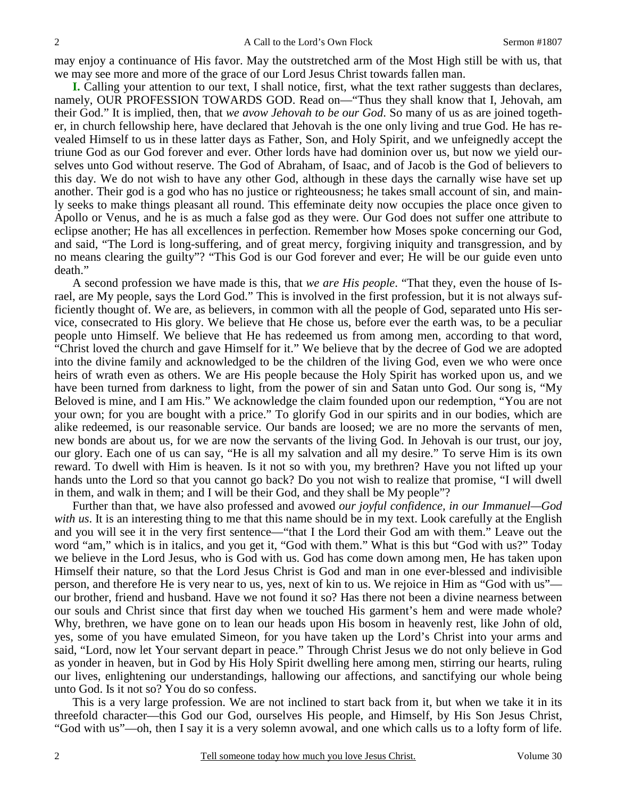may enjoy a continuance of His favor. May the outstretched arm of the Most High still be with us, that we may see more and more of the grace of our Lord Jesus Christ towards fallen man.

**I.** Calling your attention to our text, I shall notice, first, what the text rather suggests than declares, namely, OUR PROFESSION TOWARDS GOD. Read on—"Thus they shall know that I, Jehovah, am their God." It is implied, then, that *we avow Jehovah to be our God*. So many of us as are joined together, in church fellowship here, have declared that Jehovah is the one only living and true God. He has revealed Himself to us in these latter days as Father, Son, and Holy Spirit, and we unfeignedly accept the triune God as our God forever and ever. Other lords have had dominion over us, but now we yield ourselves unto God without reserve. The God of Abraham, of Isaac, and of Jacob is the God of believers to this day. We do not wish to have any other God, although in these days the carnally wise have set up another. Their god is a god who has no justice or righteousness; he takes small account of sin, and mainly seeks to make things pleasant all round. This effeminate deity now occupies the place once given to Apollo or Venus, and he is as much a false god as they were. Our God does not suffer one attribute to eclipse another; He has all excellences in perfection. Remember how Moses spoke concerning our God, and said, "The Lord is long-suffering, and of great mercy, forgiving iniquity and transgression, and by no means clearing the guilty"? "This God is our God forever and ever; He will be our guide even unto death."

 A second profession we have made is this, that *we are His people*. "That they, even the house of Israel, are My people, says the Lord God." This is involved in the first profession, but it is not always sufficiently thought of. We are, as believers, in common with all the people of God, separated unto His service, consecrated to His glory. We believe that He chose us, before ever the earth was, to be a peculiar people unto Himself. We believe that He has redeemed us from among men, according to that word, "Christ loved the church and gave Himself for it." We believe that by the decree of God we are adopted into the divine family and acknowledged to be the children of the living God, even we who were once heirs of wrath even as others. We are His people because the Holy Spirit has worked upon us, and we have been turned from darkness to light, from the power of sin and Satan unto God. Our song is, "My Beloved is mine, and I am His." We acknowledge the claim founded upon our redemption, "You are not your own; for you are bought with a price." To glorify God in our spirits and in our bodies, which are alike redeemed, is our reasonable service. Our bands are loosed; we are no more the servants of men, new bonds are about us, for we are now the servants of the living God. In Jehovah is our trust, our joy, our glory. Each one of us can say, "He is all my salvation and all my desire." To serve Him is its own reward. To dwell with Him is heaven. Is it not so with you, my brethren? Have you not lifted up your hands unto the Lord so that you cannot go back? Do you not wish to realize that promise, "I will dwell in them, and walk in them; and I will be their God, and they shall be My people"?

 Further than that, we have also professed and avowed *our joyful confidence, in our Immanuel—God with us*. It is an interesting thing to me that this name should be in my text. Look carefully at the English and you will see it in the very first sentence—"that I the Lord their God am with them." Leave out the word "am," which is in italics, and you get it, "God with them." What is this but "God with us?" Today we believe in the Lord Jesus, who is God with us. God has come down among men, He has taken upon Himself their nature, so that the Lord Jesus Christ is God and man in one ever-blessed and indivisible person, and therefore He is very near to us, yes, next of kin to us. We rejoice in Him as "God with us" our brother, friend and husband. Have we not found it so? Has there not been a divine nearness between our souls and Christ since that first day when we touched His garment's hem and were made whole? Why, brethren, we have gone on to lean our heads upon His bosom in heavenly rest, like John of old, yes, some of you have emulated Simeon, for you have taken up the Lord's Christ into your arms and said, "Lord, now let Your servant depart in peace." Through Christ Jesus we do not only believe in God as yonder in heaven, but in God by His Holy Spirit dwelling here among men, stirring our hearts, ruling our lives, enlightening our understandings, hallowing our affections, and sanctifying our whole being unto God. Is it not so? You do so confess.

 This is a very large profession. We are not inclined to start back from it, but when we take it in its threefold character—this God our God, ourselves His people, and Himself, by His Son Jesus Christ, "God with us"—oh, then I say it is a very solemn avowal, and one which calls us to a lofty form of life.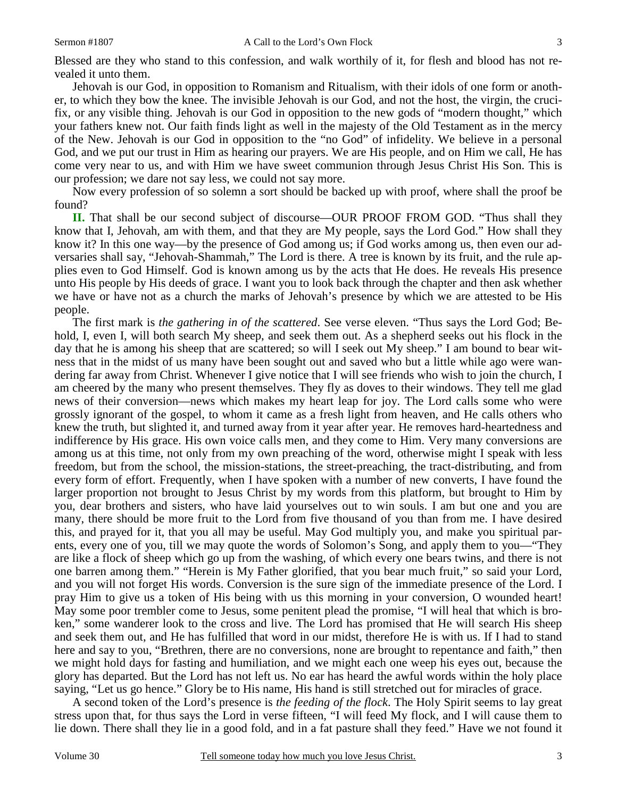Blessed are they who stand to this confession, and walk worthily of it, for flesh and blood has not revealed it unto them.

 Jehovah is our God, in opposition to Romanism and Ritualism, with their idols of one form or another, to which they bow the knee. The invisible Jehovah is our God, and not the host, the virgin, the crucifix, or any visible thing. Jehovah is our God in opposition to the new gods of "modern thought," which your fathers knew not. Our faith finds light as well in the majesty of the Old Testament as in the mercy of the New. Jehovah is our God in opposition to the "no God" of infidelity. We believe in a personal God, and we put our trust in Him as hearing our prayers. We are His people, and on Him we call, He has come very near to us, and with Him we have sweet communion through Jesus Christ His Son. This is our profession; we dare not say less, we could not say more.

 Now every profession of so solemn a sort should be backed up with proof, where shall the proof be found?

**II.** That shall be our second subject of discourse—OUR PROOF FROM GOD. "Thus shall they know that I, Jehovah, am with them, and that they are My people, says the Lord God." How shall they know it? In this one way—by the presence of God among us; if God works among us, then even our adversaries shall say, "Jehovah-Shammah," The Lord is there. A tree is known by its fruit, and the rule applies even to God Himself. God is known among us by the acts that He does. He reveals His presence unto His people by His deeds of grace. I want you to look back through the chapter and then ask whether we have or have not as a church the marks of Jehovah's presence by which we are attested to be His people.

 The first mark is *the gathering in of the scattered*. See verse eleven. "Thus says the Lord God; Behold, I, even I, will both search My sheep, and seek them out. As a shepherd seeks out his flock in the day that he is among his sheep that are scattered; so will I seek out My sheep." I am bound to bear witness that in the midst of us many have been sought out and saved who but a little while ago were wandering far away from Christ. Whenever I give notice that I will see friends who wish to join the church, I am cheered by the many who present themselves. They fly as doves to their windows. They tell me glad news of their conversion—news which makes my heart leap for joy. The Lord calls some who were grossly ignorant of the gospel, to whom it came as a fresh light from heaven, and He calls others who knew the truth, but slighted it, and turned away from it year after year. He removes hard-heartedness and indifference by His grace. His own voice calls men, and they come to Him. Very many conversions are among us at this time, not only from my own preaching of the word, otherwise might I speak with less freedom, but from the school, the mission-stations, the street-preaching, the tract-distributing, and from every form of effort. Frequently, when I have spoken with a number of new converts, I have found the larger proportion not brought to Jesus Christ by my words from this platform, but brought to Him by you, dear brothers and sisters, who have laid yourselves out to win souls. I am but one and you are many, there should be more fruit to the Lord from five thousand of you than from me. I have desired this, and prayed for it, that you all may be useful. May God multiply you, and make you spiritual parents, every one of you, till we may quote the words of Solomon's Song, and apply them to you—"They are like a flock of sheep which go up from the washing, of which every one bears twins, and there is not one barren among them." "Herein is My Father glorified, that you bear much fruit," so said your Lord, and you will not forget His words. Conversion is the sure sign of the immediate presence of the Lord. I pray Him to give us a token of His being with us this morning in your conversion, O wounded heart! May some poor trembler come to Jesus, some penitent plead the promise, "I will heal that which is broken," some wanderer look to the cross and live. The Lord has promised that He will search His sheep and seek them out, and He has fulfilled that word in our midst, therefore He is with us. If I had to stand here and say to you, "Brethren, there are no conversions, none are brought to repentance and faith," then we might hold days for fasting and humiliation, and we might each one weep his eyes out, because the glory has departed. But the Lord has not left us. No ear has heard the awful words within the holy place saying, "Let us go hence." Glory be to His name, His hand is still stretched out for miracles of grace.

 A second token of the Lord's presence is *the feeding of the flock*. The Holy Spirit seems to lay great stress upon that, for thus says the Lord in verse fifteen, "I will feed My flock, and I will cause them to lie down. There shall they lie in a good fold, and in a fat pasture shall they feed." Have we not found it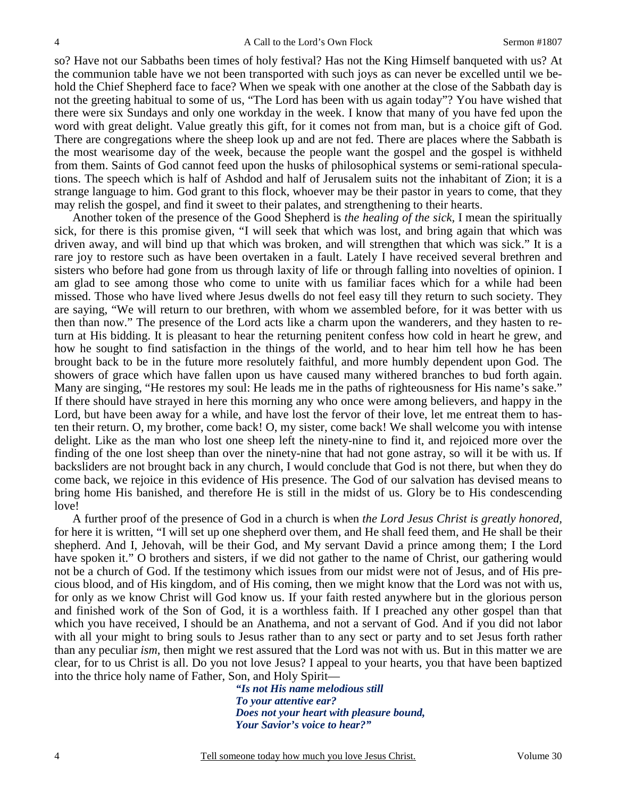so? Have not our Sabbaths been times of holy festival? Has not the King Himself banqueted with us? At the communion table have we not been transported with such joys as can never be excelled until we behold the Chief Shepherd face to face? When we speak with one another at the close of the Sabbath day is not the greeting habitual to some of us, "The Lord has been with us again today"? You have wished that there were six Sundays and only one workday in the week. I know that many of you have fed upon the word with great delight. Value greatly this gift, for it comes not from man, but is a choice gift of God. There are congregations where the sheep look up and are not fed. There are places where the Sabbath is the most wearisome day of the week, because the people want the gospel and the gospel is withheld from them. Saints of God cannot feed upon the husks of philosophical systems or semi-rational speculations. The speech which is half of Ashdod and half of Jerusalem suits not the inhabitant of Zion; it is a strange language to him. God grant to this flock, whoever may be their pastor in years to come, that they may relish the gospel, and find it sweet to their palates, and strengthening to their hearts.

 Another token of the presence of the Good Shepherd is *the healing of the sick,* I mean the spiritually sick, for there is this promise given, "I will seek that which was lost, and bring again that which was driven away, and will bind up that which was broken, and will strengthen that which was sick." It is a rare joy to restore such as have been overtaken in a fault. Lately I have received several brethren and sisters who before had gone from us through laxity of life or through falling into novelties of opinion. I am glad to see among those who come to unite with us familiar faces which for a while had been missed. Those who have lived where Jesus dwells do not feel easy till they return to such society. They are saying, "We will return to our brethren, with whom we assembled before, for it was better with us then than now." The presence of the Lord acts like a charm upon the wanderers, and they hasten to return at His bidding. It is pleasant to hear the returning penitent confess how cold in heart he grew, and how he sought to find satisfaction in the things of the world, and to hear him tell how he has been brought back to be in the future more resolutely faithful, and more humbly dependent upon God. The showers of grace which have fallen upon us have caused many withered branches to bud forth again. Many are singing, "He restores my soul: He leads me in the paths of righteousness for His name's sake." If there should have strayed in here this morning any who once were among believers, and happy in the Lord, but have been away for a while, and have lost the fervor of their love, let me entreat them to hasten their return. O, my brother, come back! O, my sister, come back! We shall welcome you with intense delight. Like as the man who lost one sheep left the ninety-nine to find it, and rejoiced more over the finding of the one lost sheep than over the ninety-nine that had not gone astray, so will it be with us. If backsliders are not brought back in any church, I would conclude that God is not there, but when they do come back, we rejoice in this evidence of His presence. The God of our salvation has devised means to bring home His banished, and therefore He is still in the midst of us. Glory be to His condescending love!

 A further proof of the presence of God in a church is when *the Lord Jesus Christ is greatly honored,* for here it is written, "I will set up one shepherd over them, and He shall feed them, and He shall be their shepherd. And I, Jehovah, will be their God, and My servant David a prince among them; I the Lord have spoken it." O brothers and sisters, if we did not gather to the name of Christ, our gathering would not be a church of God. If the testimony which issues from our midst were not of Jesus, and of His precious blood, and of His kingdom, and of His coming, then we might know that the Lord was not with us, for only as we know Christ will God know us. If your faith rested anywhere but in the glorious person and finished work of the Son of God, it is a worthless faith. If I preached any other gospel than that which you have received, I should be an Anathema, and not a servant of God. And if you did not labor with all your might to bring souls to Jesus rather than to any sect or party and to set Jesus forth rather than any peculiar *ism*, then might we rest assured that the Lord was not with us. But in this matter we are clear, for to us Christ is all. Do you not love Jesus? I appeal to your hearts, you that have been baptized into the thrice holy name of Father, Son, and Holy Spirit—

> *"Is not His name melodious still To your attentive ear? Does not your heart with pleasure bound, Your Savior's voice to hear?"*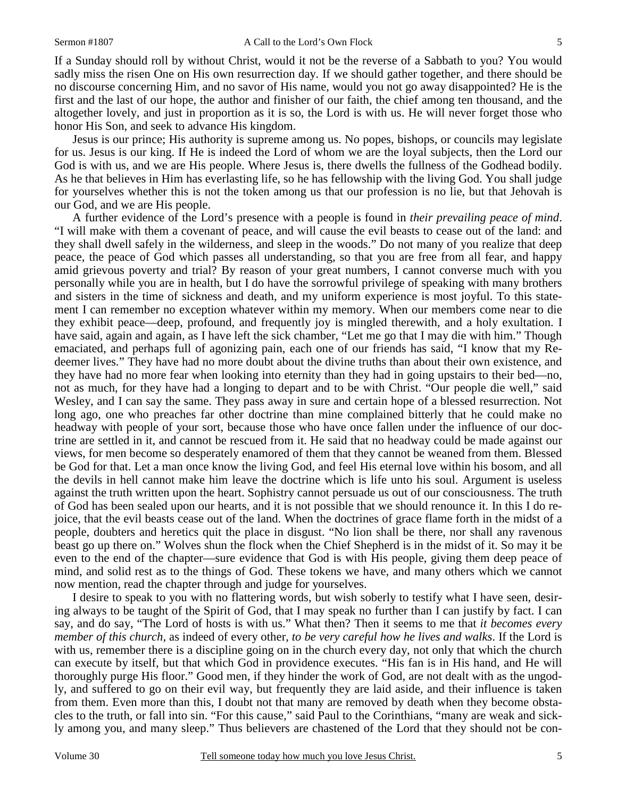If a Sunday should roll by without Christ, would it not be the reverse of a Sabbath to you? You would sadly miss the risen One on His own resurrection day. If we should gather together, and there should be no discourse concerning Him, and no savor of His name, would you not go away disappointed? He is the first and the last of our hope, the author and finisher of our faith, the chief among ten thousand, and the altogether lovely, and just in proportion as it is so, the Lord is with us. He will never forget those who honor His Son, and seek to advance His kingdom.

 Jesus is our prince; His authority is supreme among us. No popes, bishops, or councils may legislate for us. Jesus is our king. If He is indeed the Lord of whom we are the loyal subjects, then the Lord our God is with us, and we are His people. Where Jesus is, there dwells the fullness of the Godhead bodily. As he that believes in Him has everlasting life, so he has fellowship with the living God. You shall judge for yourselves whether this is not the token among us that our profession is no lie, but that Jehovah is our God, and we are His people.

 A further evidence of the Lord's presence with a people is found in *their prevailing peace of mind*. "I will make with them a covenant of peace, and will cause the evil beasts to cease out of the land: and they shall dwell safely in the wilderness, and sleep in the woods." Do not many of you realize that deep peace, the peace of God which passes all understanding, so that you are free from all fear, and happy amid grievous poverty and trial? By reason of your great numbers, I cannot converse much with you personally while you are in health, but I do have the sorrowful privilege of speaking with many brothers and sisters in the time of sickness and death, and my uniform experience is most joyful. To this statement I can remember no exception whatever within my memory. When our members come near to die they exhibit peace—deep, profound, and frequently joy is mingled therewith, and a holy exultation. I have said, again and again, as I have left the sick chamber, "Let me go that I may die with him." Though emaciated, and perhaps full of agonizing pain, each one of our friends has said, "I know that my Redeemer lives." They have had no more doubt about the divine truths than about their own existence, and they have had no more fear when looking into eternity than they had in going upstairs to their bed—no, not as much, for they have had a longing to depart and to be with Christ. "Our people die well," said Wesley, and I can say the same. They pass away in sure and certain hope of a blessed resurrection. Not long ago, one who preaches far other doctrine than mine complained bitterly that he could make no headway with people of your sort, because those who have once fallen under the influence of our doctrine are settled in it, and cannot be rescued from it. He said that no headway could be made against our views, for men become so desperately enamored of them that they cannot be weaned from them. Blessed be God for that. Let a man once know the living God, and feel His eternal love within his bosom, and all the devils in hell cannot make him leave the doctrine which is life unto his soul. Argument is useless against the truth written upon the heart. Sophistry cannot persuade us out of our consciousness. The truth of God has been sealed upon our hearts, and it is not possible that we should renounce it. In this I do rejoice, that the evil beasts cease out of the land. When the doctrines of grace flame forth in the midst of a people, doubters and heretics quit the place in disgust. "No lion shall be there, nor shall any ravenous beast go up there on." Wolves shun the flock when the Chief Shepherd is in the midst of it. So may it be even to the end of the chapter—sure evidence that God is with His people, giving them deep peace of mind, and solid rest as to the things of God. These tokens we have, and many others which we cannot now mention, read the chapter through and judge for yourselves.

 I desire to speak to you with no flattering words, but wish soberly to testify what I have seen, desiring always to be taught of the Spirit of God, that I may speak no further than I can justify by fact. I can say, and do say, "The Lord of hosts is with us." What then? Then it seems to me that *it becomes every member of this church,* as indeed of every other, *to be very careful how he lives and walks*. If the Lord is with us, remember there is a discipline going on in the church every day, not only that which the church can execute by itself, but that which God in providence executes. "His fan is in His hand, and He will thoroughly purge His floor." Good men, if they hinder the work of God, are not dealt with as the ungodly, and suffered to go on their evil way, but frequently they are laid aside, and their influence is taken from them. Even more than this, I doubt not that many are removed by death when they become obstacles to the truth, or fall into sin. "For this cause," said Paul to the Corinthians, "many are weak and sickly among you, and many sleep." Thus believers are chastened of the Lord that they should not be con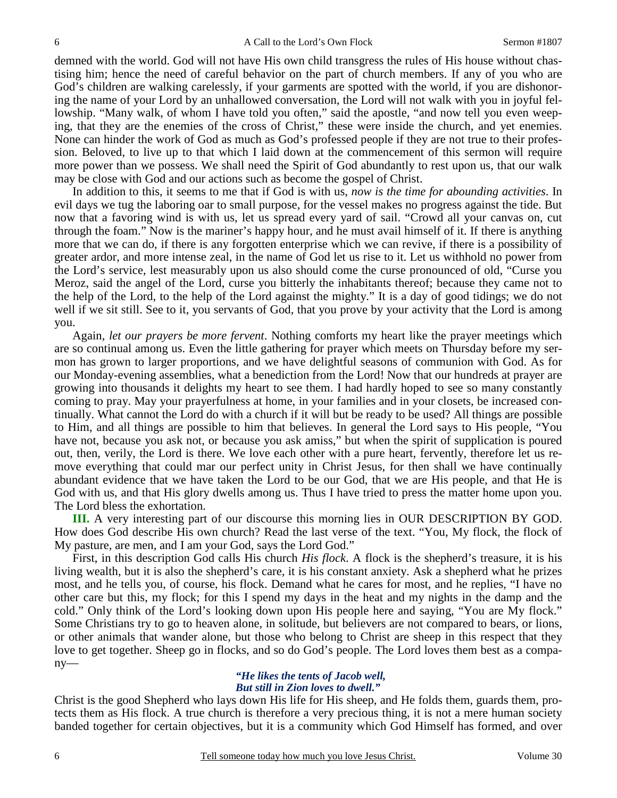demned with the world. God will not have His own child transgress the rules of His house without chastising him; hence the need of careful behavior on the part of church members. If any of you who are God's children are walking carelessly, if your garments are spotted with the world, if you are dishonoring the name of your Lord by an unhallowed conversation, the Lord will not walk with you in joyful fellowship. "Many walk, of whom I have told you often," said the apostle, "and now tell you even weeping, that they are the enemies of the cross of Christ," these were inside the church, and yet enemies. None can hinder the work of God as much as God's professed people if they are not true to their profession. Beloved, to live up to that which I laid down at the commencement of this sermon will require more power than we possess. We shall need the Spirit of God abundantly to rest upon us, that our walk may be close with God and our actions such as become the gospel of Christ.

 In addition to this, it seems to me that if God is with us, *now is the time for abounding activities*. In evil days we tug the laboring oar to small purpose, for the vessel makes no progress against the tide. But now that a favoring wind is with us, let us spread every yard of sail. "Crowd all your canvas on, cut through the foam." Now is the mariner's happy hour, and he must avail himself of it. If there is anything more that we can do, if there is any forgotten enterprise which we can revive, if there is a possibility of greater ardor, and more intense zeal, in the name of God let us rise to it. Let us withhold no power from the Lord's service, lest measurably upon us also should come the curse pronounced of old, "Curse you Meroz, said the angel of the Lord, curse you bitterly the inhabitants thereof; because they came not to the help of the Lord, to the help of the Lord against the mighty." It is a day of good tidings; we do not well if we sit still. See to it, you servants of God, that you prove by your activity that the Lord is among you.

 Again, *let our prayers be more fervent*. Nothing comforts my heart like the prayer meetings which are so continual among us. Even the little gathering for prayer which meets on Thursday before my sermon has grown to larger proportions, and we have delightful seasons of communion with God. As for our Monday-evening assemblies, what a benediction from the Lord! Now that our hundreds at prayer are growing into thousands it delights my heart to see them. I had hardly hoped to see so many constantly coming to pray. May your prayerfulness at home, in your families and in your closets, be increased continually. What cannot the Lord do with a church if it will but be ready to be used? All things are possible to Him, and all things are possible to him that believes. In general the Lord says to His people, "You have not, because you ask not, or because you ask amiss," but when the spirit of supplication is poured out, then, verily, the Lord is there. We love each other with a pure heart, fervently, therefore let us remove everything that could mar our perfect unity in Christ Jesus, for then shall we have continually abundant evidence that we have taken the Lord to be our God, that we are His people, and that He is God with us, and that His glory dwells among us. Thus I have tried to press the matter home upon you. The Lord bless the exhortation.

**III.** A very interesting part of our discourse this morning lies in OUR DESCRIPTION BY GOD. How does God describe His own church? Read the last verse of the text. "You, My flock, the flock of My pasture, are men, and I am your God, says the Lord God."

 First, in this description God calls His church *His flock*. A flock is the shepherd's treasure, it is his living wealth, but it is also the shepherd's care, it is his constant anxiety. Ask a shepherd what he prizes most, and he tells you, of course, his flock. Demand what he cares for most, and he replies, "I have no other care but this, my flock; for this I spend my days in the heat and my nights in the damp and the cold." Only think of the Lord's looking down upon His people here and saying, "You are My flock." Some Christians try to go to heaven alone, in solitude, but believers are not compared to bears, or lions, or other animals that wander alone, but those who belong to Christ are sheep in this respect that they love to get together. Sheep go in flocks, and so do God's people. The Lord loves them best as a company—

#### *"He likes the tents of Jacob well, But still in Zion loves to dwell."*

Christ is the good Shepherd who lays down His life for His sheep, and He folds them, guards them, protects them as His flock. A true church is therefore a very precious thing, it is not a mere human society banded together for certain objectives, but it is a community which God Himself has formed, and over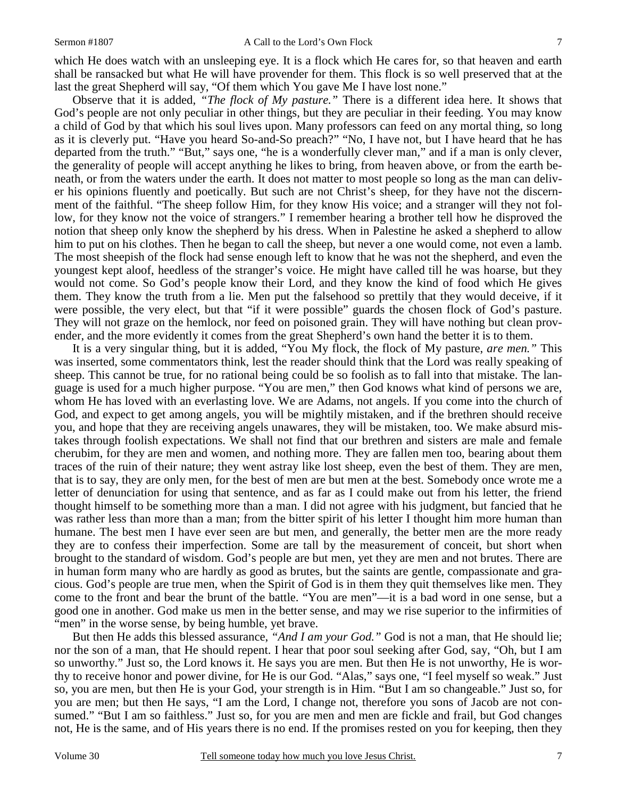which He does watch with an unsleeping eye. It is a flock which He cares for, so that heaven and earth shall be ransacked but what He will have provender for them. This flock is so well preserved that at the last the great Shepherd will say, "Of them which You gave Me I have lost none."

 Observe that it is added, *"The flock of My pasture."* There is a different idea here. It shows that God's people are not only peculiar in other things, but they are peculiar in their feeding. You may know a child of God by that which his soul lives upon. Many professors can feed on any mortal thing, so long as it is cleverly put. "Have you heard So-and-So preach?" "No, I have not, but I have heard that he has departed from the truth." "But," says one, "he is a wonderfully clever man," and if a man is only clever, the generality of people will accept anything he likes to bring, from heaven above, or from the earth beneath, or from the waters under the earth. It does not matter to most people so long as the man can deliver his opinions fluently and poetically. But such are not Christ's sheep, for they have not the discernment of the faithful. "The sheep follow Him, for they know His voice; and a stranger will they not follow, for they know not the voice of strangers." I remember hearing a brother tell how he disproved the notion that sheep only know the shepherd by his dress. When in Palestine he asked a shepherd to allow him to put on his clothes. Then he began to call the sheep, but never a one would come, not even a lamb. The most sheepish of the flock had sense enough left to know that he was not the shepherd, and even the youngest kept aloof, heedless of the stranger's voice. He might have called till he was hoarse, but they would not come. So God's people know their Lord, and they know the kind of food which He gives them. They know the truth from a lie. Men put the falsehood so prettily that they would deceive, if it were possible, the very elect, but that "if it were possible" guards the chosen flock of God's pasture. They will not graze on the hemlock, nor feed on poisoned grain. They will have nothing but clean provender, and the more evidently it comes from the great Shepherd's own hand the better it is to them.

 It is a very singular thing, but it is added, "You My flock, the flock of My pasture, *are men."* This was inserted, some commentators think, lest the reader should think that the Lord was really speaking of sheep. This cannot be true, for no rational being could be so foolish as to fall into that mistake. The language is used for a much higher purpose. "You are men," then God knows what kind of persons we are, whom He has loved with an everlasting love. We are Adams, not angels. If you come into the church of God, and expect to get among angels, you will be mightily mistaken, and if the brethren should receive you, and hope that they are receiving angels unawares, they will be mistaken, too. We make absurd mistakes through foolish expectations. We shall not find that our brethren and sisters are male and female cherubim, for they are men and women, and nothing more. They are fallen men too, bearing about them traces of the ruin of their nature; they went astray like lost sheep, even the best of them. They are men, that is to say, they are only men, for the best of men are but men at the best. Somebody once wrote me a letter of denunciation for using that sentence, and as far as I could make out from his letter, the friend thought himself to be something more than a man. I did not agree with his judgment, but fancied that he was rather less than more than a man; from the bitter spirit of his letter I thought him more human than humane. The best men I have ever seen are but men, and generally, the better men are the more ready they are to confess their imperfection. Some are tall by the measurement of conceit, but short when brought to the standard of wisdom. God's people are but men, yet they are men and not brutes. There are in human form many who are hardly as good as brutes, but the saints are gentle, compassionate and gracious. God's people are true men, when the Spirit of God is in them they quit themselves like men. They come to the front and bear the brunt of the battle. "You are men"—it is a bad word in one sense, but a good one in another. God make us men in the better sense, and may we rise superior to the infirmities of "men" in the worse sense, by being humble, yet brave.

 But then He adds this blessed assurance, *"And I am your God."* God is not a man, that He should lie; nor the son of a man, that He should repent. I hear that poor soul seeking after God, say, "Oh, but I am so unworthy." Just so, the Lord knows it. He says you are men. But then He is not unworthy, He is worthy to receive honor and power divine, for He is our God. "Alas," says one, "I feel myself so weak." Just so, you are men, but then He is your God, your strength is in Him. "But I am so changeable." Just so, for you are men; but then He says, "I am the Lord, I change not, therefore you sons of Jacob are not consumed." "But I am so faithless." Just so, for you are men and men are fickle and frail, but God changes not, He is the same, and of His years there is no end. If the promises rested on you for keeping, then they